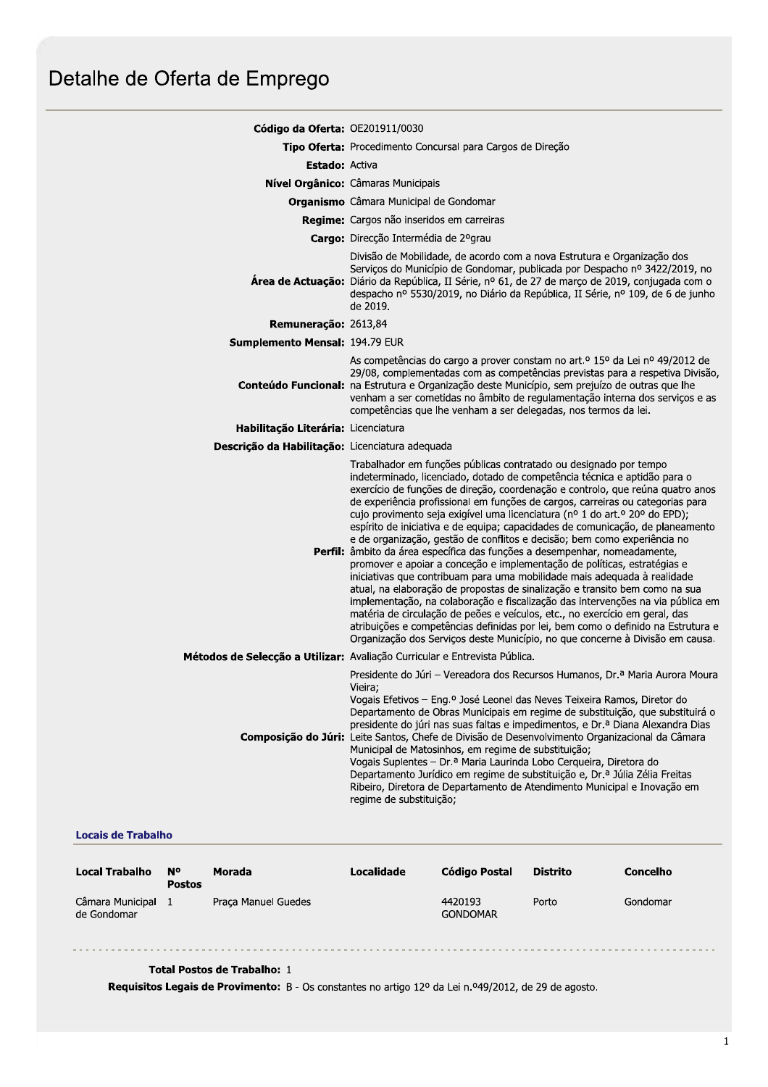# Detalhe de Oferta de Emprego

| Código da Oferta: OE201911/0030                 |                                                                                                                                                                                                                                                                                                                                                                                                                                                                                                                                                                                                                                                                                                                                                                                                                                                                                                                                                                                                                                                                                                                                                                                                                            |  |  |  |  |
|-------------------------------------------------|----------------------------------------------------------------------------------------------------------------------------------------------------------------------------------------------------------------------------------------------------------------------------------------------------------------------------------------------------------------------------------------------------------------------------------------------------------------------------------------------------------------------------------------------------------------------------------------------------------------------------------------------------------------------------------------------------------------------------------------------------------------------------------------------------------------------------------------------------------------------------------------------------------------------------------------------------------------------------------------------------------------------------------------------------------------------------------------------------------------------------------------------------------------------------------------------------------------------------|--|--|--|--|
|                                                 | Tipo Oferta: Procedimento Concursal para Cargos de Direção                                                                                                                                                                                                                                                                                                                                                                                                                                                                                                                                                                                                                                                                                                                                                                                                                                                                                                                                                                                                                                                                                                                                                                 |  |  |  |  |
| <b>Estado: Activa</b>                           |                                                                                                                                                                                                                                                                                                                                                                                                                                                                                                                                                                                                                                                                                                                                                                                                                                                                                                                                                                                                                                                                                                                                                                                                                            |  |  |  |  |
|                                                 | Nível Orgânico: Câmaras Municipais                                                                                                                                                                                                                                                                                                                                                                                                                                                                                                                                                                                                                                                                                                                                                                                                                                                                                                                                                                                                                                                                                                                                                                                         |  |  |  |  |
|                                                 | <b>Organismo</b> Câmara Municipal de Gondomar                                                                                                                                                                                                                                                                                                                                                                                                                                                                                                                                                                                                                                                                                                                                                                                                                                                                                                                                                                                                                                                                                                                                                                              |  |  |  |  |
|                                                 | Regime: Cargos não inseridos em carreiras                                                                                                                                                                                                                                                                                                                                                                                                                                                                                                                                                                                                                                                                                                                                                                                                                                                                                                                                                                                                                                                                                                                                                                                  |  |  |  |  |
|                                                 | Cargo: Direcção Intermédia de 2ºgrau                                                                                                                                                                                                                                                                                                                                                                                                                                                                                                                                                                                                                                                                                                                                                                                                                                                                                                                                                                                                                                                                                                                                                                                       |  |  |  |  |
|                                                 | Divisão de Mobilidade, de acordo com a nova Estrutura e Organização dos<br>Serviços do Município de Gondomar, publicada por Despacho nº 3422/2019, no<br>Área de Actuação: Diário da República, II Série, nº 61, de 27 de março de 2019, conjugada com o<br>despacho nº 5530/2019, no Diário da República, II Série, nº 109, de 6 de junho<br>de 2019.                                                                                                                                                                                                                                                                                                                                                                                                                                                                                                                                                                                                                                                                                                                                                                                                                                                                     |  |  |  |  |
| Remuneração: 2613,84                            |                                                                                                                                                                                                                                                                                                                                                                                                                                                                                                                                                                                                                                                                                                                                                                                                                                                                                                                                                                                                                                                                                                                                                                                                                            |  |  |  |  |
| Sumplemento Mensal: 194.79 EUR                  |                                                                                                                                                                                                                                                                                                                                                                                                                                                                                                                                                                                                                                                                                                                                                                                                                                                                                                                                                                                                                                                                                                                                                                                                                            |  |  |  |  |
|                                                 | As competências do cargo a prover constam no art. <sup>o</sup> 15º da Lei nº 49/2012 de<br>29/08, complementadas com as competências previstas para a respetiva Divisão,<br>Conteúdo Funcional: na Estrutura e Organização deste Município, sem prejuízo de outras que lhe<br>venham a ser cometidas no âmbito de regulamentação interna dos serviços e as<br>competências que lhe venham a ser delegadas, nos termos da lei.                                                                                                                                                                                                                                                                                                                                                                                                                                                                                                                                                                                                                                                                                                                                                                                              |  |  |  |  |
| Habilitação Literária: Licenciatura             |                                                                                                                                                                                                                                                                                                                                                                                                                                                                                                                                                                                                                                                                                                                                                                                                                                                                                                                                                                                                                                                                                                                                                                                                                            |  |  |  |  |
| Descrição da Habilitação: Licenciatura adequada |                                                                                                                                                                                                                                                                                                                                                                                                                                                                                                                                                                                                                                                                                                                                                                                                                                                                                                                                                                                                                                                                                                                                                                                                                            |  |  |  |  |
|                                                 | Trabalhador em funções públicas contratado ou designado por tempo<br>indeterminado, licenciado, dotado de competência técnica e aptidão para o<br>exercício de funções de direção, coordenação e controlo, que reúna quatro anos<br>de experiência profissional em funções de cargos, carreiras ou categorias para<br>cujo provimento seja exigível uma licenciatura (nº 1 do art.º 20º do EPD);<br>espírito de iniciativa e de equipa; capacidades de comunicação, de planeamento<br>e de organização, gestão de conflitos e decisão; bem como experiência no<br>Perfil: âmbito da área específica das funções a desempenhar, nomeadamente,<br>promover e apoiar a conceção e implementação de políticas, estratégias e<br>iniciativas que contribuam para uma mobilidade mais adequada à realidade<br>atual, na elaboração de propostas de sinalização e transito bem como na sua<br>implementação, na colaboração e fiscalização das intervenções na via pública em<br>matéria de circulação de peões e veículos, etc., no exercício em geral, das<br>atribuições e competências definidas por lei, bem como o definido na Estrutura e<br>Organização dos Serviços deste Município, no que concerne à Divisão em causa. |  |  |  |  |
|                                                 | Métodos de Selecção a Utilizar: Avaliação Curricular e Entrevista Pública.                                                                                                                                                                                                                                                                                                                                                                                                                                                                                                                                                                                                                                                                                                                                                                                                                                                                                                                                                                                                                                                                                                                                                 |  |  |  |  |
|                                                 | Presidente do Júri - Vereadora dos Recursos Humanos, Dr.ª Maria Aurora Moura<br>Vieira;<br>Vogais Efetivos - Eng.º José Leonel das Neves Teixeira Ramos, Diretor do<br>Departamento de Obras Municipais em regime de substituição, que substituirá o<br>presidente do júri nas suas faltas e impedimentos, e Dr.ª Diana Alexandra Dias<br>Composição do Júri: Leite Santos, Chefe de Divisão de Desenvolvimento Organizacional da Câmara<br>Municipal de Matosinhos, em regime de substituição;<br>Vogais Suplentes - Dr.ª Maria Laurinda Lobo Cerqueira, Diretora do<br>Departamento Jurídico em regime de substituição e, Dr.ª Júlia Zélia Freitas<br>Ribeiro, Diretora de Departamento de Atendimento Municipal e Inovação em<br>regime de substituição;                                                                                                                                                                                                                                                                                                                                                                                                                                                                |  |  |  |  |

## **Locais de Trabalho**

| <b>Local Trabalho</b>           | N°<br><b>Postos</b> | Morada              | Localidade | Código Postal              | Distrito | <b>Concelho</b> |
|---------------------------------|---------------------|---------------------|------------|----------------------------|----------|-----------------|
| Câmara Municipal<br>de Gondomar |                     | Praca Manuel Guedes |            | 4420193<br><b>GONDOMAR</b> | Porto    | Gondomar        |

## Total Postos de Trabalho: 1

Requisitos Legais de Provimento: B - Os constantes no artigo 12º da Lei n.º49/2012, de 29 de agosto.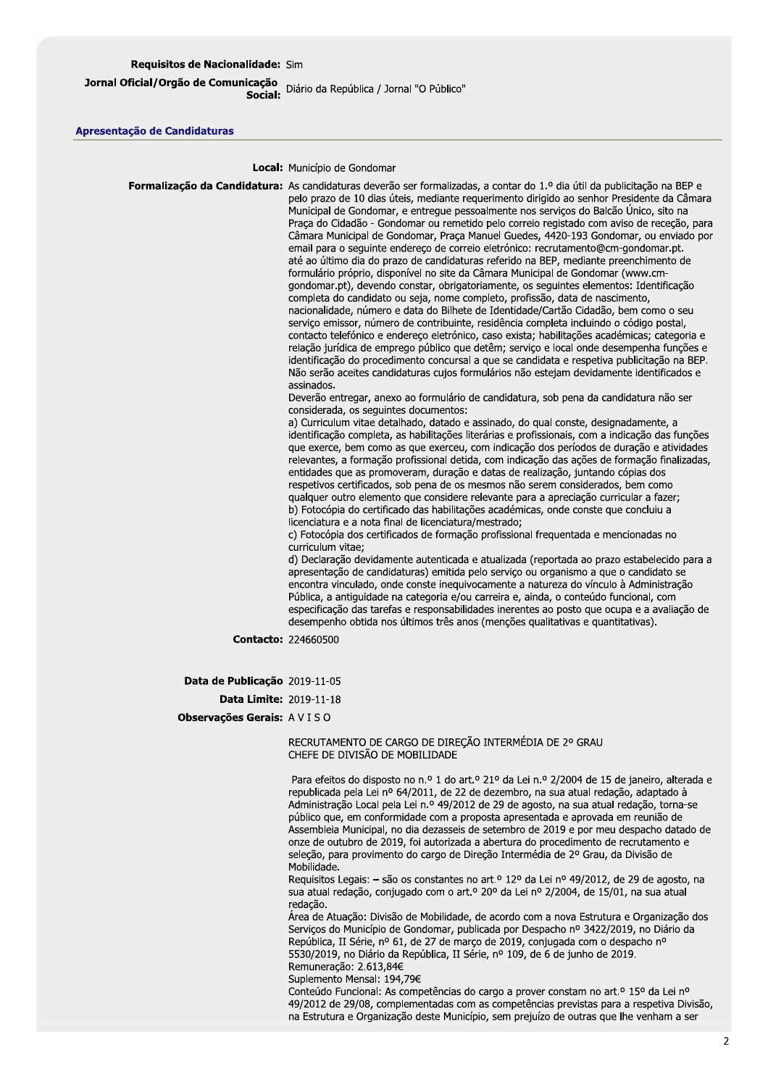Jornal Oficial/Orgão de Comunicação<br>"Social: Diário da República / Jornal "O Público"

#### Apresentação de Candidaturas

Local: Município de Gondomar

Formalização da Candidatura: As candidaturas deverão ser formalizadas, a contar do 1.º dia útil da publicitação na BEP e pelo prazo de 10 dias úteis, mediante requerimento dirigido ao senhor Presidente da Câmara Municipal de Gondomar, e entregue pessoalmente nos servicos do Balcão Único, sito na Praça do Cidadão - Gondomar ou remetido pelo correio registado com aviso de receção, para Câmara Municipal de Gondomar, Praca Manuel Guedes, 4420-193 Gondomar, ou enviado por email para o seguinte endereço de correio eletrónico: recrutamento@cm-gondomar.pt. até ao último dia do prazo de candidaturas referido na BEP, mediante preenchimento de formulário próprio, disponível no site da Câmara Municipal de Gondomar (www.cmgondomar.pt), devendo constar, obrigatoriamente, os seguintes elementos: Identificação completa do candidato ou seja, nome completo, profissão, data de nascimento, nacionalidade, número e data do Bilhete de Identidade/Cartão Cidadão, bem como o seu servico emissor, número de contribuinte, residência completa incluindo o código postal, contacto telefónico e endereço eletrónico, caso exista; habilitações académicas; categoria e relação jurídica de emprego público que detêm; servico e local onde desempenha funções e identificação do procedimento concursal a que se candidata e respetiva publicitação na BEP. Não serão aceites candidaturas cujos formulários não estejam devidamente identificados e assinados. Deverão entregar, anexo ao formulário de candidatura, sob pena da candidatura não ser considerada, os sequintes documentos: a) Curriculum vitae detalhado, datado e assinado, do qual conste, designadamente, a identificação completa, as habilitações literárias e profissionais, com a indicação das funções que exerce, bem como as que exerceu, com indicação dos períodos de duração e atividades relevantes, a formação profissional detida, com indicação das ações de formação finalizadas, entidades que as promoveram, duração e datas de realização, juntando cópias dos respetivos certificados, sob pena de os mesmos não serem considerados, bem como qualquer outro elemento que considere relevante para a apreciação curricular a fazer; b) Fotocópia do certificado das habilitações académicas, onde conste que concluiu a licenciatura e a nota final de licenciatura/mestrado; c) Fotocópia dos certificados de formação profissional frequentada e mencionadas no curriculum vitae; d) Declaração devidamente autenticada e atualizada (reportada ao prazo estabelecido para a apresentação de candidaturas) emitida pelo serviço ou organismo a que o candidato se encontra vinculado, onde conste inequivocamente a natureza do vínculo à Administração Pública, a antiguidade na categoria e/ou carreira e, ainda, o conteúdo funcional, com especificação das tarefas e responsabilidades inerentes ao posto que ocupa e a avaliação de desempenho obtida nos últimos três anos (menções qualitativas e quantitativas). Contacto: 224660500 Data de Publicação 2019-11-05 Data Limite: 2019-11-18

Observações Gerais: AVISO

#### RECRUTAMENTO DE CARGO DE DIREÇÃO INTERMÉDIA DE 2º GRAU CHEFE DE DIVISÃO DE MOBILIDADE

Para efeitos do disposto no n.º 1 do art.º 21º da Lei n.º 2/2004 de 15 de janeiro, alterada e republicada pela Lei nº 64/2011, de 22 de dezembro, na sua atual redação, adaptado à Administração Local pela Lei n.º 49/2012 de 29 de agosto, na sua atual redação, torna-se público que, em conformidade com a proposta apresentada e aprovada em reunião de Assembleia Municipal, no dia dezasseis de setembro de 2019 e por meu despacho datado de onze de outubro de 2019, foi autorizada a abertura do procedimento de recrutamento e seleção, para provimento do cargo de Direção Intermédia de 2º Grau, da Divisão de Mobilidade.

Requisitos Legais: - são os constantes no art.º 12º da Lei nº 49/2012, de 29 de agosto, na sua atual redação, conjugado com o art.º 20º da Lei nº 2/2004, de 15/01, na sua atual redação.

Área de Atuação: Divisão de Mobilidade, de acordo com a nova Estrutura e Organização dos Serviços do Município de Gondomar, publicada por Despacho nº 3422/2019, no Diário da República, II Série, nº 61, de 27 de março de 2019, conjugada com o despacho nº 5530/2019, no Diário da República, II Série, nº 109, de 6 de junho de 2019. Remuneração: 2.613,84€

Suplemento Mensal: 194,79€

Conteúdo Funcional: As competências do cargo a prover constam no art.º 15º da Lei nº 49/2012 de 29/08, complementadas com as competências previstas para a respetiva Divisão, na Estrutura e Organização deste Município, sem prejuízo de outras que lhe venham a ser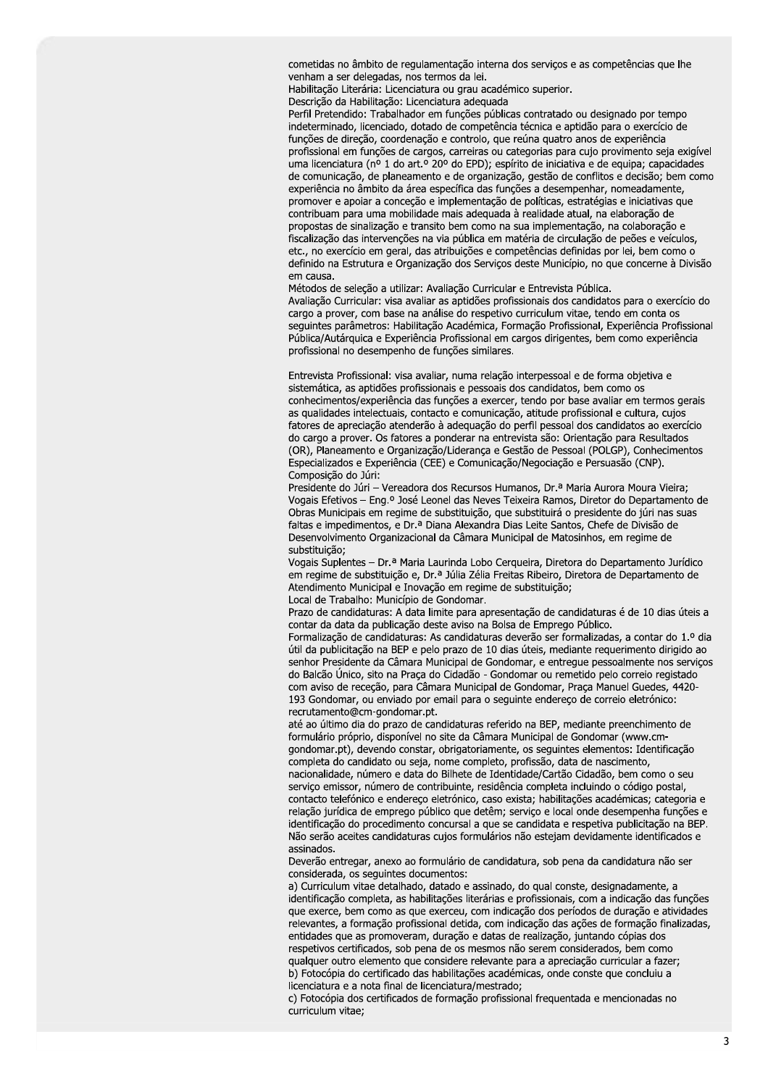cometidas no âmbito de regulamentação interna dos serviços e as competências que lhe venham a ser delegadas, nos termos da lei.

Habilitação Literária: Licenciatura ou grau académico superior.

Descrição da Habilitação: Licenciatura adequada

Perfil Pretendido: Trabalhador em funções públicas contratado ou designado por tempo indeterminado, licenciado, dotado de competência técnica e aptidão para o exercício de funções de direção, coordenação e controlo, que reúna quatro anos de experiência profissional em funções de cargos, carreiras ou categorias para cujo provimento seja exigível uma licenciatura (nº 1 do art.º 20º do EPD); espírito de iniciativa e de equipa; capacidades de comunicação, de planeamento e de organização, gestão de conflitos e decisão; bem como experiência no âmbito da área específica das funções a desempenhar, nomeadamente, promover e apoiar a conceção e implementação de políticas, estratégias e iniciativas que contribuam para uma mobilidade mais adequada à realidade atual, na elaboração de propostas de sinalização e transito bem como na sua implementação, na colaboração e fiscalização das intervenções na via pública em matéria de circulação de peões e veículos, etc., no exercício em geral, das atribuições e competências definidas por lei, bem como o definido na Estrutura e Organização dos Serviços deste Município, no que concerne à Divisão em causa.

Métodos de seleção a utilizar: Avaliação Curricular e Entrevista Pública. Avaliação Curricular: visa avaliar as aptidões profissionais dos candidatos para o exercício do cargo a prover, com base na análise do respetivo curriculum vitae, tendo em conta os seguintes parâmetros: Habilitação Académica, Formação Profissional, Experiência Profissional Pública/Autárquica e Experiência Profissional em cargos dirigentes, bem como experiência profissional no desempenho de funções similares.

Entrevista Profissional: visa avaliar, numa relação interpessoal e de forma objetiva e sistemática, as aptidões profissionais e pessoais dos candidatos, bem como os conhecimentos/experiência das funções a exercer, tendo por base avaliar em termos gerais as qualidades intelectuais, contacto e comunicação, atitude profissional e cultura, cujos fatores de apreciação atenderão à adequação do perfil pessoal dos candidatos ao exercício do cargo a prover. Os fatores a ponderar na entrevista são: Orientação para Resultados (OR), Planeamento e Organização/Liderança e Gestão de Pessoal (POLGP), Conhecimentos Especializados e Experiência (CEE) e Comunicação/Negociação e Persuasão (CNP). Composição do Júri:

Presidente do Júri - Vereadora dos Recursos Humanos, Dr.ª Maria Aurora Moura Vieira; Vogais Efetivos - Eng.º José Leonel das Neves Teixeira Ramos, Diretor do Departamento de Obras Municipais em regime de substituição, que substituirá o presidente do júri nas suas faltas e impedimentos, e Dr.ª Diana Alexandra Dias Leite Santos, Chefe de Divisão de Desenvolvimento Organizacional da Câmara Municipal de Matosinhos, em regime de substituição;

Vogais Suplentes - Dr.ª Maria Laurinda Lobo Cerqueira, Diretora do Departamento Jurídico em regime de substituição e, Dr.ª Júlia Zélia Freitas Ribeiro, Diretora de Departamento de Atendimento Municipal e Inovação em regime de substituição; Local de Trabalho: Município de Gondomar.

Prazo de candidaturas: A data limite para apresentação de candidaturas é de 10 dias úteis a contar da data da publicação deste aviso na Bolsa de Emprego Público.

Formalização de candidaturas: As candidaturas deverão ser formalizadas, a contar do 1.º dia útil da publicitação na BEP e pelo prazo de 10 dias úteis, mediante requerimento dirigido ao senhor Presidente da Câmara Municipal de Gondomar, e entregue pessoalmente nos serviços do Balcão Único, sito na Praça do Cidadão - Gondomar ou remetido pelo correio registado com aviso de receção, para Câmara Municipal de Gondomar, Praça Manuel Guedes, 4420-193 Gondomar, ou enviado por email para o seguinte endereço de correio eletrónico: recrutamento@cm-gondomar.pt.

até ao último dia do prazo de candidaturas referido na BEP, mediante preenchimento de formulário próprio, disponível no site da Câmara Municipal de Gondomar (www.cmgondomar.pt), devendo constar, obrigatoriamente, os seguintes elementos: Identificação completa do candidato ou seja, nome completo, profissão, data de nascimento, nacionalidade, número e data do Bilhete de Identidade/Cartão Cidadão, bem como o seu servico emissor, número de contribuinte, residência completa incluindo o código postal, contacto telefónico e endereço eletrónico, caso exista; habilitações académicas; categoria e relação jurídica de emprego público que detêm; serviço e local onde desempenha funções e identificação do procedimento concursal a que se candidata e respetiva publicitação na BEP. Não serão aceites candidaturas cujos formulários não estejam devidamente identificados e assinados.

Deverão entregar, anexo ao formulário de candidatura, sob pena da candidatura não ser considerada, os seguintes documentos:

a) Curriculum vitae detalhado, datado e assinado, do qual conste, designadamente, a identificação completa, as habilitações literárias e profissionais, com a indicação das funções que exerce, bem como as que exerceu, com indicação dos períodos de duração e atividades relevantes, a formação profissional detida, com indicação das ações de formação finalizadas, entidades que as promoveram, duração e datas de realização, juntando cópias dos respetivos certificados, sob pena de os mesmos não serem considerados, bem como qualquer outro elemento que considere relevante para a apreciação curricular a fazer; b) Fotocópia do certificado das habilitações académicas, onde conste que concluiu a licenciatura e a nota final de licenciatura/mestrado;

c) Fotocópia dos certificados de formação profissional frequentada e mencionadas no curriculum vitae;